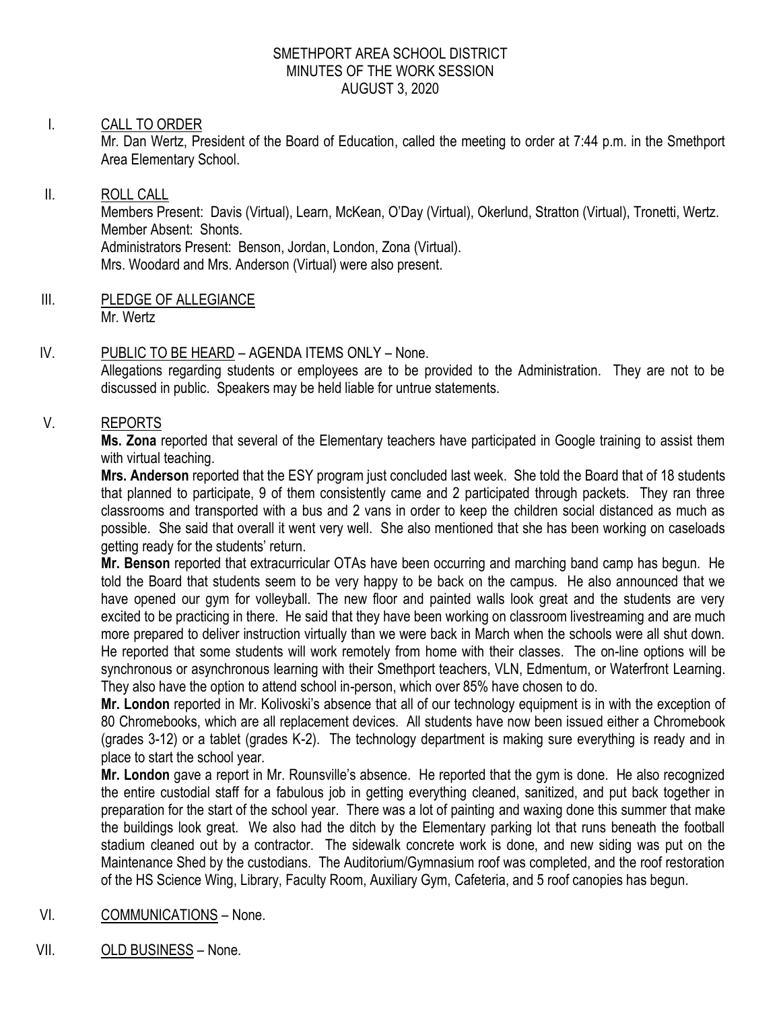#### SMETHPORT AREA SCHOOL DISTRICT MINUTES OF THE WORK SESSION AUGUST 3, 2020

# I. CALL TO ORDER

Mr. Dan Wertz, President of the Board of Education, called the meeting to order at 7:44 p.m. in the Smethport Area Elementary School.

#### II. ROLL CALL

Members Present: Davis (Virtual), Learn, McKean, O'Day (Virtual), Okerlund, Stratton (Virtual), Tronetti, Wertz. Member Absent: Shonts.

Administrators Present: Benson, Jordan, London, Zona (Virtual). Mrs. Woodard and Mrs. Anderson (Virtual) were also present.

III. PLEDGE OF ALLEGIANCE Mr. Wertz

# IV. PUBLIC TO BE HEARD – AGENDA ITEMS ONLY – None.

Allegations regarding students or employees are to be provided to the Administration. They are not to be discussed in public. Speakers may be held liable for untrue statements.

### V. REPORTS

**Ms. Zona** reported that several of the Elementary teachers have participated in Google training to assist them with virtual teaching.

**Mrs. Anderson** reported that the ESY program just concluded last week. She told the Board that of 18 students that planned to participate, 9 of them consistently came and 2 participated through packets. They ran three classrooms and transported with a bus and 2 vans in order to keep the children social distanced as much as possible. She said that overall it went very well. She also mentioned that she has been working on caseloads getting ready for the students' return.

**Mr. Benson** reported that extracurricular OTAs have been occurring and marching band camp has begun. He told the Board that students seem to be very happy to be back on the campus. He also announced that we have opened our gym for volleyball. The new floor and painted walls look great and the students are very excited to be practicing in there. He said that they have been working on classroom livestreaming and are much more prepared to deliver instruction virtually than we were back in March when the schools were all shut down. He reported that some students will work remotely from home with their classes. The on-line options will be synchronous or asynchronous learning with their Smethport teachers, VLN, Edmentum, or Waterfront Learning. They also have the option to attend school in-person, which over 85% have chosen to do.

**Mr. London** reported in Mr. Kolivoski's absence that all of our technology equipment is in with the exception of 80 Chromebooks, which are all replacement devices. All students have now been issued either a Chromebook (grades 3-12) or a tablet (grades K-2). The technology department is making sure everything is ready and in place to start the school year.

**Mr. London** gave a report in Mr. Rounsville's absence. He reported that the gym is done. He also recognized the entire custodial staff for a fabulous job in getting everything cleaned, sanitized, and put back together in preparation for the start of the school year. There was a lot of painting and waxing done this summer that make the buildings look great. We also had the ditch by the Elementary parking lot that runs beneath the football stadium cleaned out by a contractor. The sidewalk concrete work is done, and new siding was put on the Maintenance Shed by the custodians. The Auditorium/Gymnasium roof was completed, and the roof restoration of the HS Science Wing, Library, Faculty Room, Auxiliary Gym, Cafeteria, and 5 roof canopies has begun.

# VI. COMMUNICATIONS – None.

VII. OLD BUSINESS – None.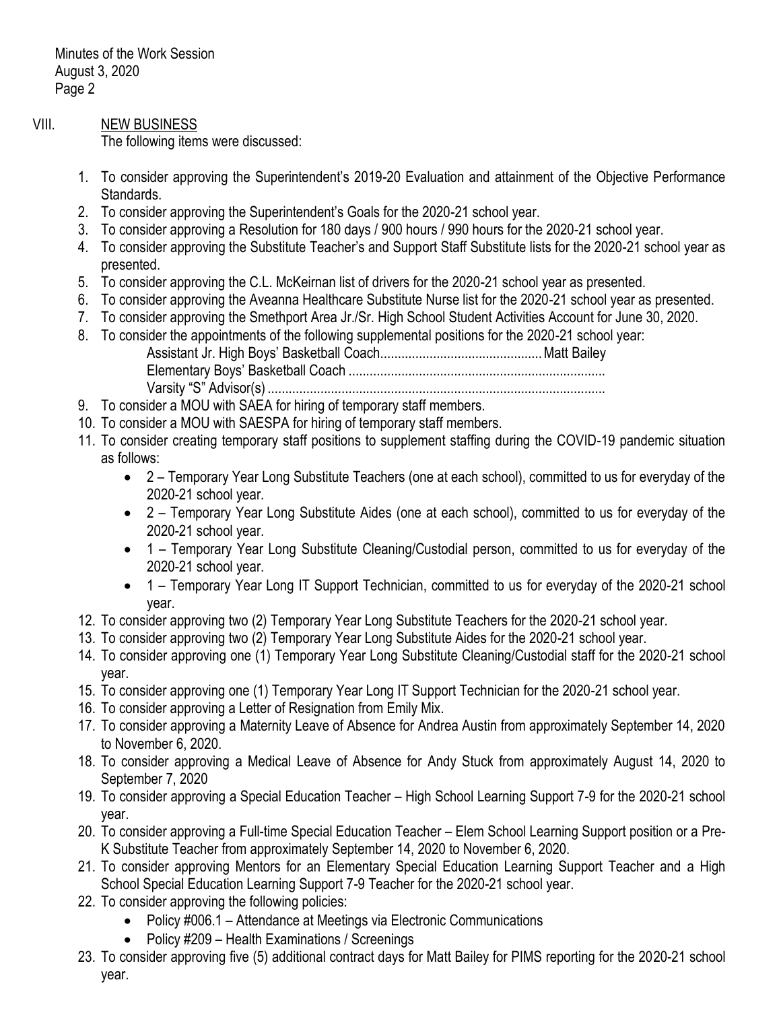Minutes of the Work Session August 3, 2020 Page 2

### VIII. NEW BUSINESS

The following items were discussed:

- 1. To consider approving the Superintendent's 2019-20 Evaluation and attainment of the Objective Performance Standards.
- 2. To consider approving the Superintendent's Goals for the 2020-21 school year.
- 3. To consider approving a Resolution for 180 days / 900 hours / 990 hours for the 2020-21 school year.
- 4. To consider approving the Substitute Teacher's and Support Staff Substitute lists for the 2020-21 school year as presented.
- 5. To consider approving the C.L. McKeirnan list of drivers for the 2020-21 school year as presented.
- 6. To consider approving the Aveanna Healthcare Substitute Nurse list for the 2020-21 school year as presented.
- 7. To consider approving the Smethport Area Jr./Sr. High School Student Activities Account for June 30, 2020.
- 8. To consider the appointments of the following supplemental positions for the 2020-21 school year: Assistant Jr. High Boys' Basketball Coach..............................................Matt Bailey Elementary Boys' Basketball Coach ......................................................................... Varsity "S" Advisor(s) ................................................................................................
- 9. To consider a MOU with SAEA for hiring of temporary staff members.
- 10. To consider a MOU with SAESPA for hiring of temporary staff members.
- 11. To consider creating temporary staff positions to supplement staffing during the COVID-19 pandemic situation as follows:
	- 2 Temporary Year Long Substitute Teachers (one at each school), committed to us for everyday of the 2020-21 school year.
	- 2 Temporary Year Long Substitute Aides (one at each school), committed to us for everyday of the 2020-21 school year.
	- 1 Temporary Year Long Substitute Cleaning/Custodial person, committed to us for everyday of the 2020-21 school year.
	- 1 Temporary Year Long IT Support Technician, committed to us for everyday of the 2020-21 school year.
- 12. To consider approving two (2) Temporary Year Long Substitute Teachers for the 2020-21 school year.
- 13. To consider approving two (2) Temporary Year Long Substitute Aides for the 2020-21 school year.
- 14. To consider approving one (1) Temporary Year Long Substitute Cleaning/Custodial staff for the 2020-21 school year.
- 15. To consider approving one (1) Temporary Year Long IT Support Technician for the 2020-21 school year.
- 16. To consider approving a Letter of Resignation from Emily Mix.
- 17. To consider approving a Maternity Leave of Absence for Andrea Austin from approximately September 14, 2020 to November 6, 2020.
- 18. To consider approving a Medical Leave of Absence for Andy Stuck from approximately August 14, 2020 to September 7, 2020
- 19. To consider approving a Special Education Teacher High School Learning Support 7-9 for the 2020-21 school year.
- 20. To consider approving a Full-time Special Education Teacher Elem School Learning Support position or a Pre-K Substitute Teacher from approximately September 14, 2020 to November 6, 2020.
- 21. To consider approving Mentors for an Elementary Special Education Learning Support Teacher and a High School Special Education Learning Support 7-9 Teacher for the 2020-21 school year.
- 22. To consider approving the following policies:
	- Policy #006.1 Attendance at Meetings via Electronic Communications
	- Policy #209 Health Examinations / Screenings
- 23. To consider approving five (5) additional contract days for Matt Bailey for PIMS reporting for the 2020-21 school year.